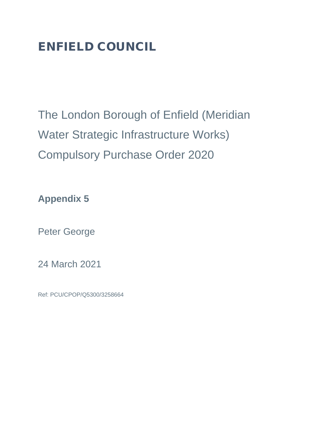# ENFIELD COUNCIL

The London Borough of Enfield (Meridian Water Strategic Infrastructure Works) Compulsory Purchase Order 2020

**Appendix 5**

Peter George

24 March 2021

Ref: PCU/CPOP/Q5300/3258664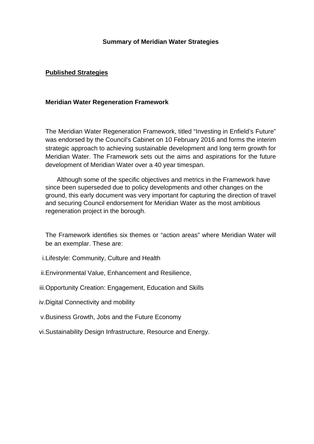### **Summary of Meridian Water Strategies**

## **Published Strategies**

#### **Meridian Water Regeneration Framework**

The Meridian Water Regeneration Framework, titled "Investing in Enfield's Future" was endorsed by the Council's Cabinet on 10 February 2016 and forms the interim strategic approach to achieving sustainable development and long term growth for Meridian Water. The Framework sets out the aims and aspirations for the future development of Meridian Water over a 40 year timespan.

Although some of the specific objectives and metrics in the Framework have since been superseded due to policy developments and other changes on the ground, this early document was very important for capturing the direction of travel and securing Council endorsement for Meridian Water as the most ambitious regeneration project in the borough.

The Framework identifies six themes or "action areas" where Meridian Water will be an exemplar. These are:

- i.Lifestyle: Community, Culture and Health
- ii.Environmental Value, Enhancement and Resilience,
- iii.Opportunity Creation: Engagement, Education and Skills
- iv.Digital Connectivity and mobility
- v.Business Growth, Jobs and the Future Economy
- vi.Sustainability Design Infrastructure, Resource and Energy.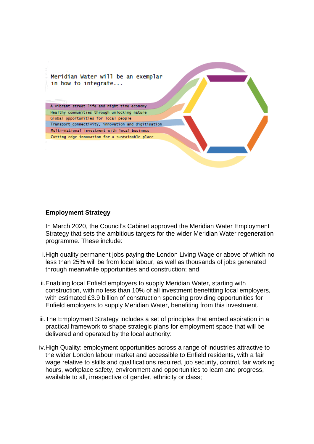Meridian Water will be an exemplar in how to integrate...

A vibrant street life and night time economy Healthy communities through unlocking nature Global opportunities for local people Transport connectivity, innovation and digitisation Multi-mational investment with local business Cutting edge innovation for a sustainable place

#### **Employment Strategy**

In March 2020, the Council's Cabinet approved the Meridian Water Employment Strategy that sets the ambitious targets for the wider Meridian Water regeneration programme. These include:

- i.High quality permanent jobs paying the London Living Wage or above of which no less than 25% will be from local labour, as well as thousands of jobs generated through meanwhile opportunities and construction; and
- ii.Enabling local Enfield employers to supply Meridian Water, starting with construction, with no less than 10% of all investment benefitting local employers, with estimated £3.9 billion of construction spending providing opportunities for Enfield employers to supply Meridian Water, benefiting from this investment.
- iii.The Employment Strategy includes a set of principles that embed aspiration in a practical framework to shape strategic plans for employment space that will be delivered and operated by the local authority:
- iv.High Quality: employment opportunities across a range of industries attractive to the wider London labour market and accessible to Enfield residents, with a fair wage relative to skills and qualifications required, job security, control, fair working hours, workplace safety, environment and opportunities to learn and progress, available to all, irrespective of gender, ethnicity or class;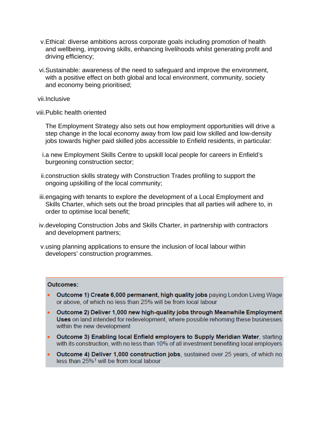- v.Ethical: diverse ambitions across corporate goals including promotion of health and wellbeing, improving skills, enhancing livelihoods whilst generating profit and driving efficiency;
- vi.Sustainable: awareness of the need to safeguard and improve the environment, with a positive effect on both global and local environment, community, society and economy being prioritised;
- vii.Inclusive
- viii.Public health oriented

The Employment Strategy also sets out how employment opportunities will drive a step change in the local economy away from low paid low skilled and low-density jobs towards higher paid skilled jobs accessible to Enfield residents, in particular:

- i.a new Employment Skills Centre to upskill local people for careers in Enfield's burgeoning construction sector;
- ii.construction skills strategy with Construction Trades profiling to support the ongoing upskilling of the local community;
- iii.engaging with tenants to explore the development of a Local Employment and Skills Charter, which sets out the broad principles that all parties will adhere to, in order to optimise local benefit;
- iv.developing Construction Jobs and Skills Charter, in partnership with contractors and development partners;
- v.using planning applications to ensure the inclusion of local labour within developers' construction programmes.

#### Outcomes:

- Outcome 1) Create 6,000 permanent, high quality jobs paying London Living Wage or above, of which no less than 25% will be from local labour
- Outcome 2) Deliver 1,000 new high-quality jobs through Meanwhile Employment Uses on land intended for redevelopment, where possible rehoming these businesses within the new development
- Outcome 3) Enabling local Enfield employers to Supply Meridian Water, starting with its construction, with no less than 10% of all investment benefiting local employers
- Outcome 4) Deliver 1,000 construction jobs, sustained over 25 years, of which no less than 25%<sup>1</sup> will be from local labour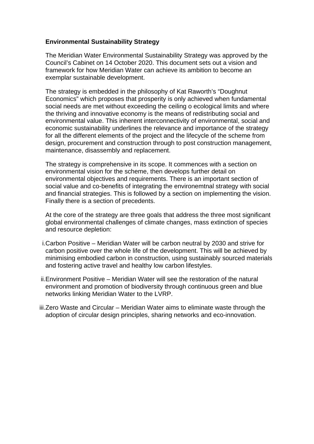# **Environmental Sustainability Strategy**

The Meridian Water Environmental Sustainability Strategy was approved by the Council's Cabinet on 14 October 2020. This document sets out a vision and framework for how Meridian Water can achieve its ambition to become an exemplar sustainable development.

The strategy is embedded in the philosophy of Kat Raworth's "Doughnut Economics" which proposes that prosperity is only achieved when fundamental social needs are met without exceeding the ceiling o ecological limits and where the thriving and innovative economy is the means of redistributing social and environmental value. This inherent interconnectivity of environmental, social and economic sustainability underlines the relevance and importance of the strategy for all the different elements of the project and the lifecycle of the scheme from design, procurement and construction through to post construction management, maintenance, disassembly and replacement.

The strategy is comprehensive in its scope. It commences with a section on environmental vision for the scheme, then develops further detail on environmental objectives and requirements. There is an important section of social value and co-benefits of integrating the environemtnal strategy with social and financial strategies. This is followed by a section on implementing the vision. Finally there is a section of precedents.

At the core of the strategy are three goals that address the three most significant global environmental challenges of climate changes, mass extinction of species and resource depletion:

- i.Carbon Positive Meridian Water will be carbon neutral by 2030 and strive for carbon positive over the whole life of the development. This will be achieved by minimising embodied carbon in construction, using sustainably sourced materials and fostering active travel and healthy low carbon lifestyles.
- ii.Environment Positive Meridian Water will see the restoration of the natural environment and promotion of biodiversity through continuous green and blue networks linking Meridian Water to the LVRP.
- iii.Zero Waste and Circular Meridian Water aims to eliminate waste through the adoption of circular design principles, sharing networks and eco-innovation.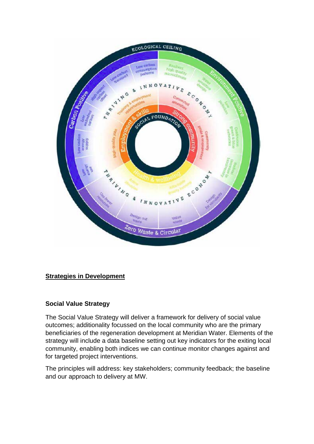

# **Strategies in Development**

# **Social Value Strategy**

The Social Value Strategy will deliver a framework for delivery of social value outcomes; additionality focussed on the local community who are the primary beneficiaries of the regeneration development at Meridian Water. Elements of the strategy will include a data baseline setting out key indicators for the exiting local community, enabling both indices we can continue monitor changes against and for targeted project interventions.

The principles will address: key stakeholders; community feedback; the baseline and our approach to delivery at MW.